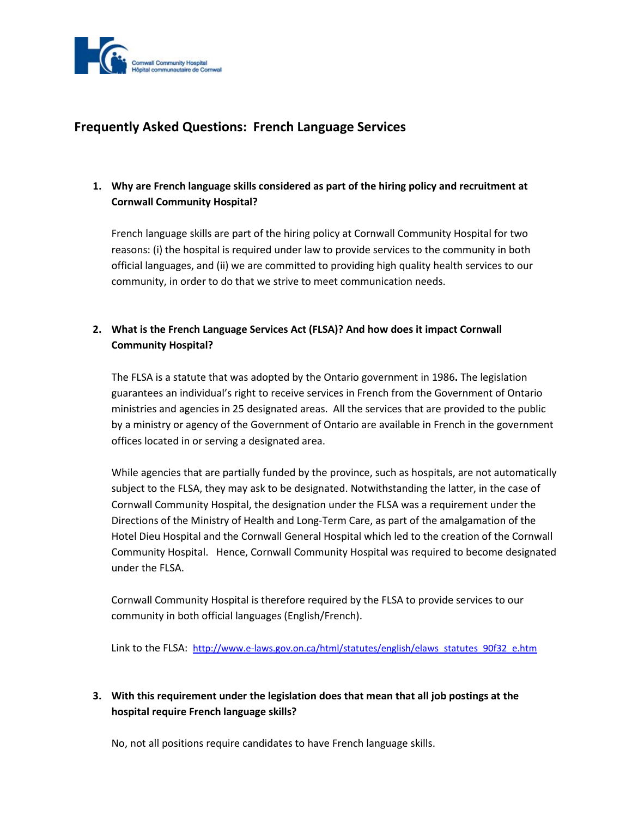

# **Frequently Asked Questions: French Language Services**

## **1. Why are French language skills considered as part of the hiring policy and recruitment at Cornwall Community Hospital?**

French language skills are part of the hiring policy at Cornwall Community Hospital for two reasons: (i) the hospital is required under law to provide services to the community in both official languages, and (ii) we are committed to providing high quality health services to our community, in order to do that we strive to meet communication needs.

### **2. What is the French Language Services Act (FLSA)? And how does it impact Cornwall Community Hospital?**

The FLSA is a statute that was adopted by the Ontario government in 1986**.** The legislation guarantees an individual's right to receive services in French from the Government of Ontario ministries and agencies in 25 designated areas. All the services that are provided to the public by a ministry or agency of the Government of Ontario are available in French in the government offices located in or serving a designated area.

While agencies that are partially funded by the province, such as hospitals, are not automatically subject to the FLSA, they may ask to be designated. Notwithstanding the latter, in the case of Cornwall Community Hospital, the designation under the FLSA was a requirement under the Directions of the Ministry of Health and Long-Term Care, as part of the amalgamation of the Hotel Dieu Hospital and the Cornwall General Hospital which led to the creation of the Cornwall Community Hospital. Hence, Cornwall Community Hospital was required to become designated under the FLSA.

Cornwall Community Hospital is therefore required by the FLSA to provide services to our community in both official languages (English/French).

Link to the FLSA: [http://www.e-laws.gov.on.ca/html/statutes/english/elaws\\_statutes\\_90f32\\_e.htm](http://www.e-laws.gov.on.ca/html/statutes/english/elaws_statutes_90f32_e.htm)

## **3. With this requirement under the legislation does that mean that all job postings at the hospital require French language skills?**

No, not all positions require candidates to have French language skills.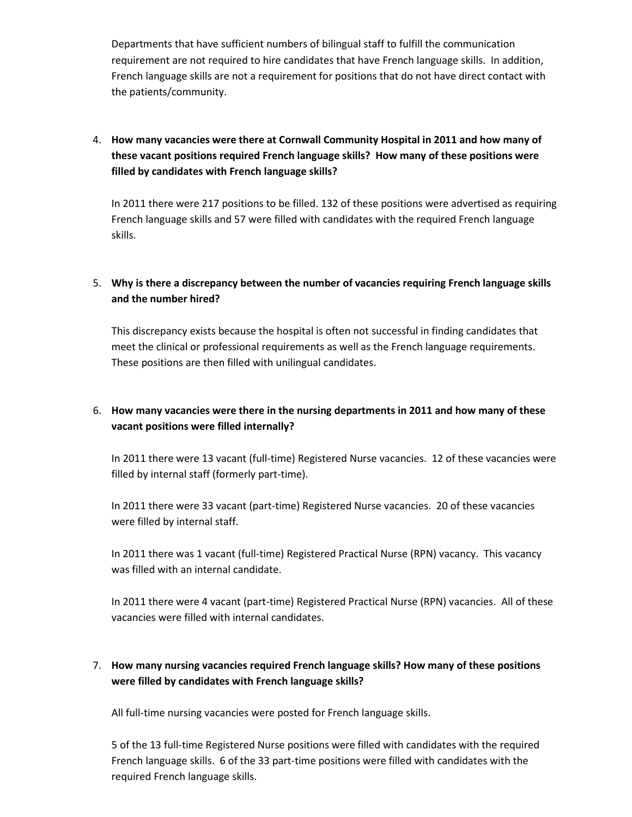Departments that have sufficient numbers of bilingual staff to fulfill the communication requirement are not required to hire candidates that have French language skills. In addition, French language skills are not a requirement for positions that do not have direct contact with the patients/community.

## 4. **How many vacancies were there at Cornwall Community Hospital in 2011 and how many of these vacant positions required French language skills? How many of these positions were filled by candidates with French language skills?**

In 2011 there were 217 positions to be filled. 132 of these positions were advertised as requiring French language skills and 57 were filled with candidates with the required French language skills.

### 5. **Why is there a discrepancy between the number of vacancies requiring French language skills and the number hired?**

This discrepancy exists because the hospital is often not successful in finding candidates that meet the clinical or professional requirements as well as the French language requirements. These positions are then filled with unilingual candidates.

## 6. **How many vacancies were there in the nursing departments in 2011 and how many of these vacant positions were filled internally?**

In 2011 there were 13 vacant (full-time) Registered Nurse vacancies. 12 of these vacancies were filled by internal staff (formerly part-time).

In 2011 there were 33 vacant (part-time) Registered Nurse vacancies. 20 of these vacancies were filled by internal staff.

In 2011 there was 1 vacant (full-time) Registered Practical Nurse (RPN) vacancy. This vacancy was filled with an internal candidate.

In 2011 there were 4 vacant (part-time) Registered Practical Nurse (RPN) vacancies. All of these vacancies were filled with internal candidates.

### 7. **How many nursing vacancies required French language skills? How many of these positions were filled by candidates with French language skills?**

All full-time nursing vacancies were posted for French language skills.

5 of the 13 full-time Registered Nurse positions were filled with candidates with the required French language skills. 6 of the 33 part-time positions were filled with candidates with the required French language skills.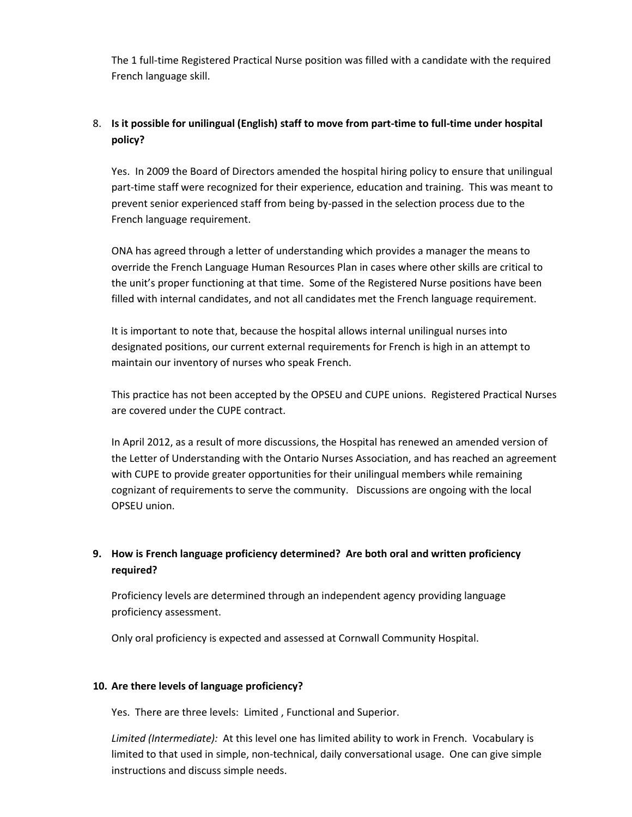The 1 full-time Registered Practical Nurse position was filled with a candidate with the required French language skill.

### 8. **Is it possible for unilingual (English) staff to move from part-time to full-time under hospital policy?**

Yes. In 2009 the Board of Directors amended the hospital hiring policy to ensure that unilingual part-time staff were recognized for their experience, education and training. This was meant to prevent senior experienced staff from being by-passed in the selection process due to the French language requirement.

ONA has agreed through a letter of understanding which provides a manager the means to override the French Language Human Resources Plan in cases where other skills are critical to the unit's proper functioning at that time. Some of the Registered Nurse positions have been filled with internal candidates, and not all candidates met the French language requirement.

It is important to note that, because the hospital allows internal unilingual nurses into designated positions, our current external requirements for French is high in an attempt to maintain our inventory of nurses who speak French.

This practice has not been accepted by the OPSEU and CUPE unions. Registered Practical Nurses are covered under the CUPE contract.

In April 2012, as a result of more discussions, the Hospital has renewed an amended version of the Letter of Understanding with the Ontario Nurses Association, and has reached an agreement with CUPE to provide greater opportunities for their unilingual members while remaining cognizant of requirements to serve the community. Discussions are ongoing with the local OPSEU union.

## **9. How is French language proficiency determined? Are both oral and written proficiency required?**

Proficiency levels are determined through an independent agency providing language proficiency assessment.

Only oral proficiency is expected and assessed at Cornwall Community Hospital.

### **10. Are there levels of language proficiency?**

Yes. There are three levels: Limited , Functional and Superior.

*Limited (Intermediate):* At this level one has limited ability to work in French. Vocabulary is limited to that used in simple, non-technical, daily conversational usage. One can give simple instructions and discuss simple needs.